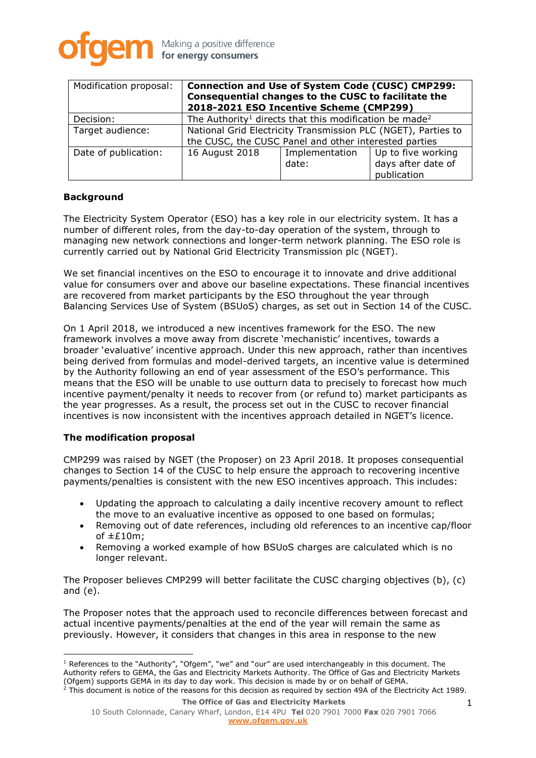

| Modification proposal: | <b>Connection and Use of System Code (CUSC) CMP299:</b><br>Consequential changes to the CUSC to facilitate the<br>2018-2021 ESO Incentive Scheme (CMP299) |                         |                                                         |
|------------------------|-----------------------------------------------------------------------------------------------------------------------------------------------------------|-------------------------|---------------------------------------------------------|
| Decision:              | The Authority <sup>1</sup> directs that this modification be made <sup>2</sup>                                                                            |                         |                                                         |
| Target audience:       | National Grid Electricity Transmission PLC (NGET), Parties to<br>the CUSC, the CUSC Panel and other interested parties                                    |                         |                                                         |
| Date of publication:   | 16 August 2018                                                                                                                                            | Implementation<br>date: | Up to five working<br>days after date of<br>publication |

### **Background**

The Electricity System Operator (ESO) has a key role in our electricity system. It has a number of different roles, from the day-to-day operation of the system, through to managing new network connections and longer-term network planning. The ESO role is currently carried out by National Grid Electricity Transmission plc (NGET).

We set financial incentives on the ESO to encourage it to innovate and drive additional value for consumers over and above our baseline expectations. These financial incentives are recovered from market participants by the ESO throughout the year through Balancing Services Use of System (BSUoS) charges, as set out in Section 14 of the CUSC.

On 1 April 2018, we introduced a new incentives framework for the ESO. The new framework involves a move away from discrete 'mechanistic' incentives, towards a broader 'evaluative' incentive approach. Under this new approach, rather than incentives being derived from formulas and model-derived targets, an incentive value is determined by the Authority following an end of year assessment of the ESO's performance. This means that the ESO will be unable to use outturn data to precisely to forecast how much incentive payment/penalty it needs to recover from (or refund to) market participants as the year progresses. As a result, the process set out in the CUSC to recover financial incentives is now inconsistent with the incentives approach detailed in NGET's licence.

### **The modification proposal**

CMP299 was raised by NGET (the Proposer) on 23 April 2018. It proposes consequential changes to Section 14 of the CUSC to help ensure the approach to recovering incentive payments/penalties is consistent with the new ESO incentives approach. This includes:

- Updating the approach to calculating a daily incentive recovery amount to reflect the move to an evaluative incentive as opposed to one based on formulas;
- Removing out of date references, including old references to an incentive cap/floor of  $\pm$ £10m;
- Removing a worked example of how BSUoS charges are calculated which is no longer relevant.

The Proposer believes CMP299 will better facilitate the CUSC charging objectives (b), (c) and (e).

The Proposer notes that the approach used to reconcile differences between forecast and actual incentive payments/penalties at the end of the year will remain the same as previously. However, it considers that changes in this area in response to the new

<sup>&</sup>lt;sup>1</sup> References to the "Authority", "Ofgem", "we" and "our" are used interchangeably in this document. The Authority refers to GEMA, the Gas and Electricity Markets Authority. The Office of Gas and Electricity Markets (Ofgem) supports GEMA in its day to day work. This decision is made by or on behalf of GEMA.  $^2$  This document is notice of the reasons for this decision as required by section 49A of the Electricity Act 1989.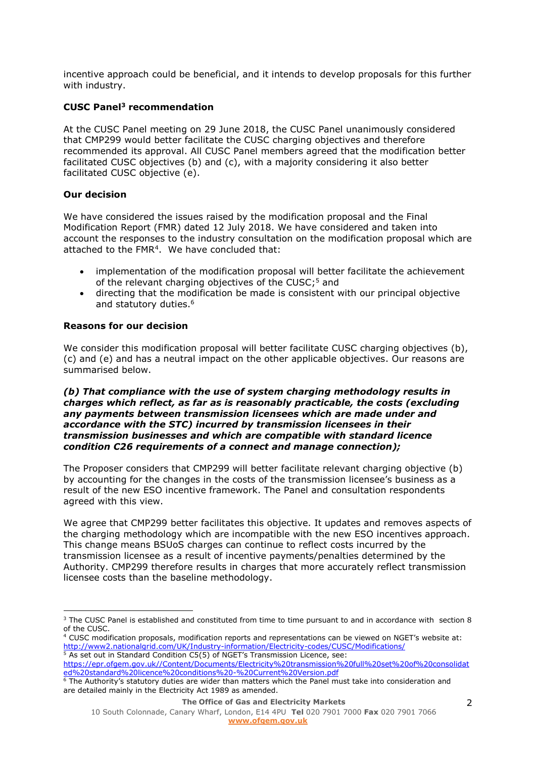incentive approach could be beneficial, and it intends to develop proposals for this further with industry.

# **CUSC Panel<sup>3</sup> recommendation**

At the CUSC Panel meeting on 29 June 2018, the CUSC Panel unanimously considered that CMP299 would better facilitate the CUSC charging objectives and therefore recommended its approval. All CUSC Panel members agreed that the modification better facilitated CUSC objectives (b) and (c), with a majority considering it also better facilitated CUSC objective (e).

# **Our decision**

 $\overline{a}$ 

We have considered the issues raised by the modification proposal and the Final Modification Report (FMR) dated 12 July 2018. We have considered and taken into account the responses to the industry consultation on the modification proposal which are attached to the FMR<sup>4</sup> . We have concluded that:

- implementation of the modification proposal will better facilitate the achievement of the relevant charging objectives of the CUSC; <sup>5</sup> and
- directing that the modification be made is consistent with our principal objective and statutory duties. 6

# **Reasons for our decision**

We consider this modification proposal will better facilitate CUSC charging objectives (b), (c) and (e) and has a neutral impact on the other applicable objectives. Our reasons are summarised below.

*(b) That compliance with the use of system charging methodology results in charges which reflect, as far as is reasonably practicable, the costs (excluding any payments between transmission licensees which are made under and accordance with the STC) incurred by transmission licensees in their transmission businesses and which are compatible with standard licence condition C26 requirements of a connect and manage connection);*

The Proposer considers that CMP299 will better facilitate relevant charging objective (b) by accounting for the changes in the costs of the transmission licensee's business as a result of the new ESO incentive framework. The Panel and consultation respondents agreed with this view.

We agree that CMP299 better facilitates this objective. It updates and removes aspects of the charging methodology which are incompatible with the new ESO incentives approach. This change means BSUoS charges can continue to reflect costs incurred by the transmission licensee as a result of incentive payments/penalties determined by the Authority. CMP299 therefore results in charges that more accurately reflect transmission licensee costs than the baseline methodology.

<sup>&</sup>lt;sup>3</sup> The CUSC Panel is established and constituted from time to time pursuant to and in accordance with section 8 of the CUSC.

<sup>4</sup> CUSC modification proposals, modification reports and representations can be viewed on NGET's website at: <http://www2.nationalgrid.com/UK/Industry-information/Electricity-codes/CUSC/Modifications/>

 $5$  As set out in Standard Condition C5(5) of NGET's Transmission Licence, see:

[https://epr.ofgem.gov.uk//Content/Documents/Electricity%20transmission%20full%20set%20of%20consolidat](https://epr.ofgem.gov.uk/Content/Documents/Electricity%20transmission%20full%20set%20of%20consolidated%20standard%20licence%20conditions%20-%20Current%20Version.pdf) [ed%20standard%20licence%20conditions%20-%20Current%20Version.pdf](https://epr.ofgem.gov.uk/Content/Documents/Electricity%20transmission%20full%20set%20of%20consolidated%20standard%20licence%20conditions%20-%20Current%20Version.pdf)

 $^6$  The Authority's statutory duties are wider than matters which the Panel must take into consideration and are detailed mainly in the Electricity Act 1989 as amended.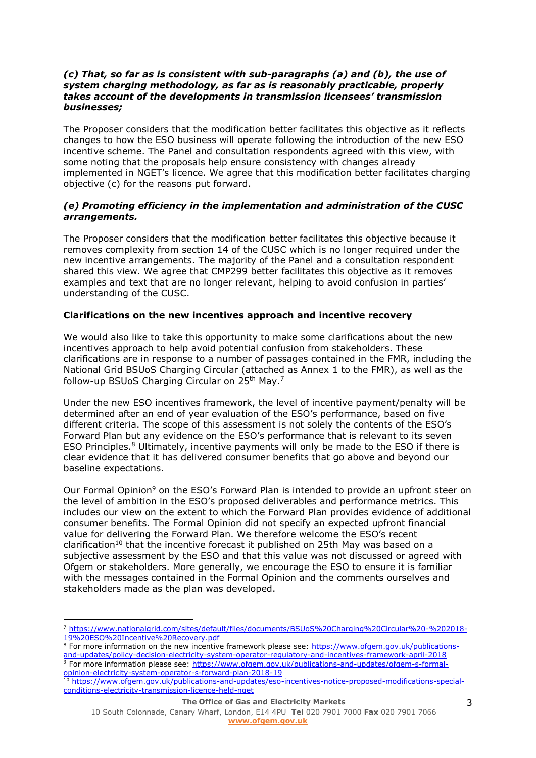### *(c) That, so far as is consistent with sub-paragraphs (a) and (b), the use of system charging methodology, as far as is reasonably practicable, properly takes account of the developments in transmission licensees' transmission businesses;*

The Proposer considers that the modification better facilitates this objective as it reflects changes to how the ESO business will operate following the introduction of the new ESO incentive scheme. The Panel and consultation respondents agreed with this view, with some noting that the proposals help ensure consistency with changes already implemented in NGET's licence. We agree that this modification better facilitates charging objective (c) for the reasons put forward.

### *(e) Promoting efficiency in the implementation and administration of the CUSC arrangements.*

The Proposer considers that the modification better facilitates this objective because it removes complexity from section 14 of the CUSC which is no longer required under the new incentive arrangements. The majority of the Panel and a consultation respondent shared this view. We agree that CMP299 better facilitates this objective as it removes examples and text that are no longer relevant, helping to avoid confusion in parties' understanding of the CUSC.

# **Clarifications on the new incentives approach and incentive recovery**

We would also like to take this opportunity to make some clarifications about the new incentives approach to help avoid potential confusion from stakeholders. These clarifications are in response to a number of passages contained in the FMR, including the National Grid BSUoS Charging Circular (attached as Annex 1 to the FMR), as well as the follow-up BSUoS Charging Circular on 25th May.<sup>7</sup>

Under the new ESO incentives framework, the level of incentive payment/penalty will be determined after an end of year evaluation of the ESO's performance, based on five different criteria. The scope of this assessment is not solely the contents of the ESO's Forward Plan but any evidence on the ESO's performance that is relevant to its seven ESO Principles. $8$  Ultimately, incentive payments will only be made to the ESO if there is clear evidence that it has delivered consumer benefits that go above and beyond our baseline expectations.

Our Formal Opinion<sup>9</sup> on the ESO's Forward Plan is intended to provide an upfront steer on the level of ambition in the ESO's proposed deliverables and performance metrics. This includes our view on the extent to which the Forward Plan provides evidence of additional consumer benefits. The Formal Opinion did not specify an expected upfront financial value for delivering the Forward Plan. We therefore welcome the ESO's recent clarification<sup>10</sup> that the incentive forecast it published on 25th May was based on a subjective assessment by the ESO and that this value was not discussed or agreed with Ofgem or stakeholders. More generally, we encourage the ESO to ensure it is familiar with the messages contained in the Formal Opinion and the comments ourselves and stakeholders made as the plan was developed.

<sup>7</sup> [https://www.nationalgrid.com/sites/default/files/documents/BSUoS%20Charging%20Circular%20-%202018-](https://www.nationalgrid.com/sites/default/files/documents/BSUoS%20Charging%20Circular%20-%202018-19%20ESO%20Incentive%20Recovery.pdf) [19%20ESO%20Incentive%20Recovery.pdf](https://www.nationalgrid.com/sites/default/files/documents/BSUoS%20Charging%20Circular%20-%202018-19%20ESO%20Incentive%20Recovery.pdf)

<sup>&</sup>lt;sup>8</sup> For more information on the new incentive framework please see: [https://www.ofgem.gov.uk/publications](https://www.ofgem.gov.uk/publications-and-updates/policy-decision-electricity-system-operator-regulatory-and-incentives-framework-april-2018)[and-updates/policy-decision-electricity-system-operator-regulatory-and-incentives-framework-april-2018](https://www.ofgem.gov.uk/publications-and-updates/policy-decision-electricity-system-operator-regulatory-and-incentives-framework-april-2018) <sup>9</sup> For more information please see: [https://www.ofgem.gov.uk/publications-and-updates/ofgem-s-formal](https://www.ofgem.gov.uk/publications-and-updates/ofgem-s-formal-opinion-electricity-system-operator-s-forward-plan-2018-19)[opinion-electricity-system-operator-s-forward-plan-2018-19](https://www.ofgem.gov.uk/publications-and-updates/ofgem-s-formal-opinion-electricity-system-operator-s-forward-plan-2018-19)<br><sup>10</sup> https://www.eform-cryssistem-operator-s-forward-plan-2018-19

[https://www.ofgem.gov.uk/publications-and-updates/eso-incentives-notice-proposed-modifications-special](https://www.ofgem.gov.uk/publications-and-updates/eso-incentives-notice-proposed-modifications-special-conditions-electricity-transmission-licence-held-nget)[conditions-electricity-transmission-licence-held-nget](https://www.ofgem.gov.uk/publications-and-updates/eso-incentives-notice-proposed-modifications-special-conditions-electricity-transmission-licence-held-nget)